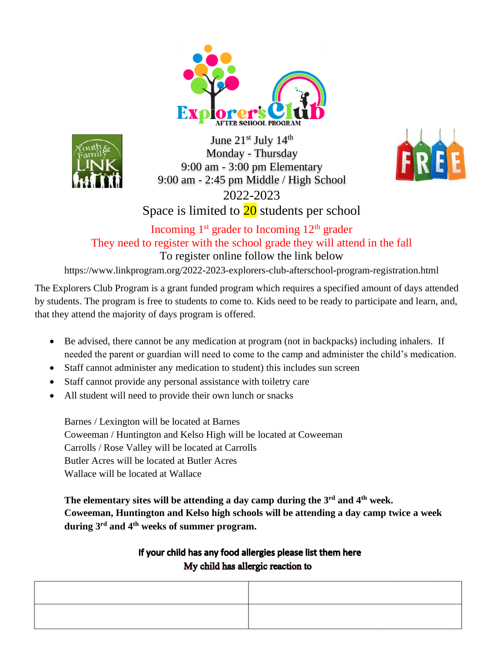



June 21st July 14th Monday - Thursday 9:00 am - 3:00 pm Elementary 9:00 am - 2:45 pm Middle / High School 2022-2023



Space is limited to  $\frac{20}{20}$  students per school

## Incoming  $1<sup>st</sup>$  grader to Incoming  $12<sup>th</sup>$  grader They need to register with the school grade they will attend in the fall

To register online follow the link below

https://www.linkprogram.org/2022-2023-explorers-club-afterschool-program-registration.html

The Explorers Club Program is a grant funded program which requires a specified amount of days attended by students. The program is free to students to come to. Kids need to be ready to participate and learn, and, that they attend the majority of days program is offered.

- Be advised, there cannot be any medication at program (not in backpacks) including inhalers. If needed the parent or guardian will need to come to the camp and administer the child's medication.
- Staff cannot administer any medication to student) this includes sun screen
- Staff cannot provide any personal assistance with toiletry care
- All student will need to provide their own lunch or snacks

Barnes / Lexington will be located at Barnes Coweeman / Huntington and Kelso High will be located at Coweeman Carrolls / Rose Valley will be located at Carrolls Butler Acres will be located at Butler Acres Wallace will be located at Wallace

**The elementary sites will be attending a day camp during the 3rd and 4th week. Coweeman, Huntington and Kelso high schools will be attending a day camp twice a week during 3 rd and 4th weeks of summer program.**

## If your child has any food allergies please list them here My child has allergic reaction to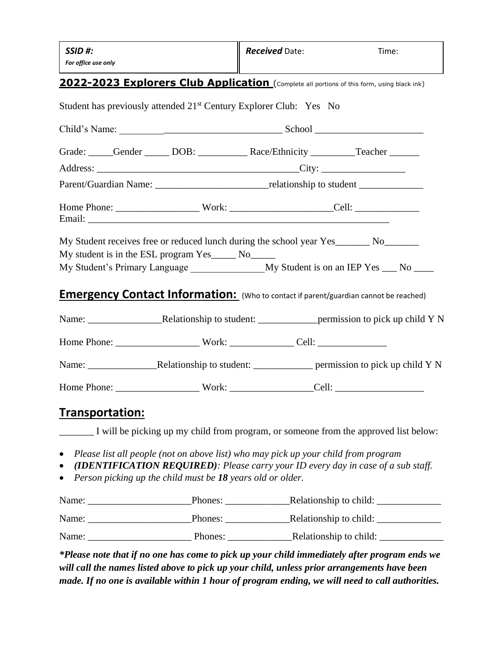| SSID#:<br>For office use only                                                                                                                                                                                                                                                                                                          |                                                                                                     | <b>Received Date:</b> | Time: |  |  |
|----------------------------------------------------------------------------------------------------------------------------------------------------------------------------------------------------------------------------------------------------------------------------------------------------------------------------------------|-----------------------------------------------------------------------------------------------------|-----------------------|-------|--|--|
| 2022-2023 Explorers Club Application (Complete all portions of this form, using black ink)                                                                                                                                                                                                                                             |                                                                                                     |                       |       |  |  |
| Student has previously attended 21 <sup>st</sup> Century Explorer Club: Yes No                                                                                                                                                                                                                                                         |                                                                                                     |                       |       |  |  |
|                                                                                                                                                                                                                                                                                                                                        |                                                                                                     |                       |       |  |  |
| Grade: Cender DOB: Race/Ethnicity Teacher                                                                                                                                                                                                                                                                                              |                                                                                                     |                       |       |  |  |
|                                                                                                                                                                                                                                                                                                                                        |                                                                                                     |                       |       |  |  |
|                                                                                                                                                                                                                                                                                                                                        | Parent/Guardian Name: __________________________________relationship to student ___________________ |                       |       |  |  |
| Home Phone: ___________________________Work: ____________________________Cell: _____________________<br>Email: The contract of the contract of the contract of the contract of the contract of the contract of the contract of the contract of the contract of the contract of the contract of the contract of the contract of the con |                                                                                                     |                       |       |  |  |
| My Student receives free or reduced lunch during the school year Yes_______ No_______<br>My student is in the ESL program Yes______ No______<br><b>Emergency Contact Information:</b> (Who to contact if parent/guardian cannot be reached)                                                                                            |                                                                                                     |                       |       |  |  |
|                                                                                                                                                                                                                                                                                                                                        |                                                                                                     |                       |       |  |  |
|                                                                                                                                                                                                                                                                                                                                        |                                                                                                     |                       |       |  |  |
|                                                                                                                                                                                                                                                                                                                                        |                                                                                                     |                       |       |  |  |
|                                                                                                                                                                                                                                                                                                                                        |                                                                                                     |                       |       |  |  |
|                                                                                                                                                                                                                                                                                                                                        |                                                                                                     |                       |       |  |  |
| Transportation:<br>I will be picking up my child from program, or someone from the approved list below:                                                                                                                                                                                                                                |                                                                                                     |                       |       |  |  |

- *Please list all people (not on above list) who may pick up your child from program*
- *(IDENTIFICATION REQUIRED): Please carry your ID every day in case of a sub staff.*
- *Person picking up the child must be 18 years old or older.*

Name: \_\_\_\_\_\_\_\_\_\_\_\_\_\_\_\_\_\_\_\_\_Phones: \_\_\_\_\_\_\_\_\_\_\_\_\_Relationship to child: \_\_\_\_\_\_\_\_\_\_\_\_\_ Name: Phones: Phones: Relationship to child: Name: \_\_\_\_\_\_\_\_\_\_\_\_\_\_\_\_\_\_\_\_\_ Phones: \_\_\_\_\_\_\_\_\_\_\_\_\_Relationship to child: \_\_\_\_\_\_\_\_\_\_\_\_\_

*\*Please note that if no one has come to pick up your child immediately after program ends we will call the names listed above to pick up your child, unless prior arrangements have been made. If no one is available within 1 hour of program ending, we will need to call authorities.*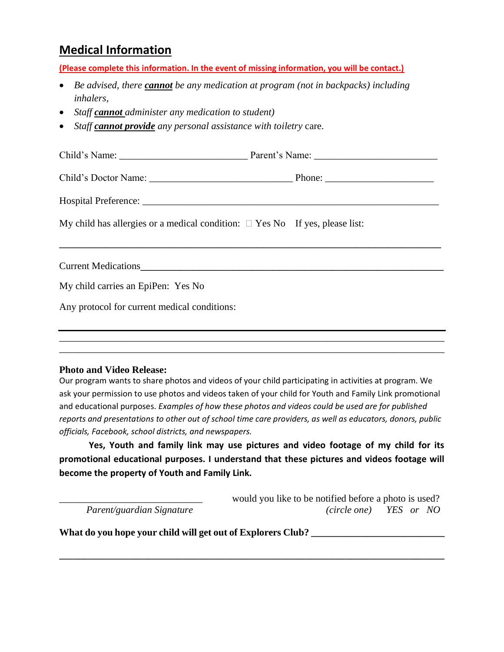# **Medical Information**

**(Please complete this information. In the event of missing information, you will be contact.)** 

- *Be advised, there cannot be any medication at program (not in backpacks) including inhalers,*
- *Staff cannot administer any medication to student)*
- *Staff cannot provide any personal assistance with toiletry* care.

| My child has allergies or a medical condition: $\Box$ Yes No If yes, please list: |  |  |  |
|-----------------------------------------------------------------------------------|--|--|--|
|                                                                                   |  |  |  |
|                                                                                   |  |  |  |
|                                                                                   |  |  |  |
| Any protocol for current medical conditions:                                      |  |  |  |
|                                                                                   |  |  |  |
|                                                                                   |  |  |  |

#### **Photo and Video Release:**

Our program wants to share photos and videos of your child participating in activities at program. We ask your permission to use photos and videos taken of your child for Youth and Family Link promotional and educational purposes. *Examples of how these photos and videos could be used are for published reports and presentations to other out of school time care providers, as well as educators, donors, public officials, Facebook, school districts, and newspapers.*

\_\_\_\_\_\_\_\_\_\_\_\_\_\_\_\_\_\_\_\_\_\_\_\_\_\_\_\_\_\_\_\_\_\_\_\_\_\_\_\_\_\_\_\_\_\_\_\_\_\_\_\_\_\_\_\_\_\_\_\_\_\_\_\_\_\_\_\_\_\_\_\_\_\_\_\_\_\_

**Yes, Youth and family link may use pictures and video footage of my child for its promotional educational purposes. I understand that these pictures and videos footage will become the property of Youth and Family Link.**

**\_\_\_\_\_\_\_\_\_\_\_\_\_\_\_\_\_\_\_\_\_\_\_\_\_\_\_\_\_\_\_\_\_\_\_\_\_\_\_\_\_\_\_\_\_\_\_\_\_\_\_\_\_\_\_\_\_\_\_\_\_\_\_\_\_\_\_\_\_\_\_\_\_\_\_\_\_\_**

would you like to be notified before a photo is used?  *Parent/guardian Signature (circle one) YES or NO*

What do you hope your child will get out of Explorers Club? \_\_\_\_\_\_\_\_\_\_\_\_\_\_\_\_\_\_\_\_\_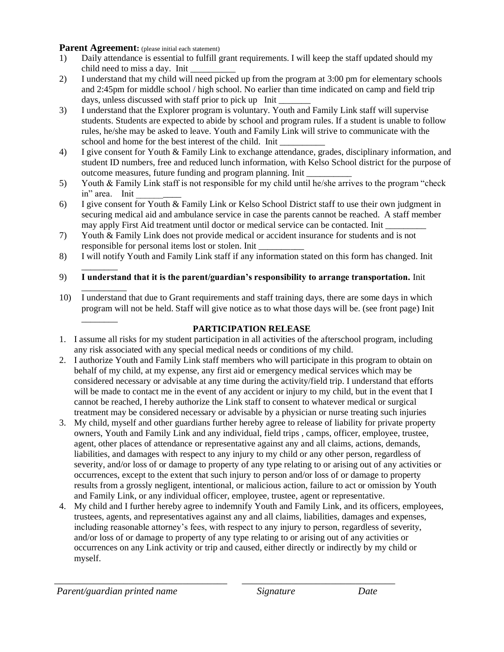#### **Parent Agreement:** (please initial each statement)

- 1) Daily attendance is essential to fulfill grant requirements. I will keep the staff updated should my child need to miss a day. Init \_\_\_\_\_\_\_\_\_\_
- 2) I understand that my child will need picked up from the program at 3:00 pm for elementary schools and 2:45pm for middle school / high school. No earlier than time indicated on camp and field trip days, unless discussed with staff prior to pick up Init
- 3) I understand that the Explorer program is voluntary. Youth and Family Link staff will supervise students. Students are expected to abide by school and program rules. If a student is unable to follow rules, he/she may be asked to leave. Youth and Family Link will strive to communicate with the school and home for the best interest of the child. Init
- 4) I give consent for Youth & Family Link to exchange attendance, grades, disciplinary information, and student ID numbers, free and reduced lunch information, with Kelso School district for the purpose of outcome measures, future funding and program planning. Init \_\_\_\_\_\_\_\_\_\_
- 5) Youth & Family Link staff is not responsible for my child until he/she arrives to the program "check in" area. Init
- 6) I give consent for Youth & Family Link or Kelso School District staff to use their own judgment in securing medical aid and ambulance service in case the parents cannot be reached. A staff member may apply First Aid treatment until doctor or medical service can be contacted. Init
- 7) Youth & Family Link does not provide medical or accident insurance for students and is not responsible for personal items lost or stolen. Init \_\_\_\_\_\_\_\_\_\_
- 8) I will notify Youth and Family Link staff if any information stated on this form has changed. Init
- \_\_\_\_\_\_\_\_ 9) **I understand that it is the parent/guardian's responsibility to arrange transportation.** Init
- \_\_\_\_\_\_\_\_\_\_ 10) I understand that due to Grant requirements and staff training days, there are some days in which program will not be held. Staff will give notice as to what those days will be. (see front page) Init \_\_\_\_\_\_\_\_

### **PARTICIPATION RELEASE**

- 1. I assume all risks for my student participation in all activities of the afterschool program, including any risk associated with any special medical needs or conditions of my child.
- 2. I authorize Youth and Family Link staff members who will participate in this program to obtain on behalf of my child, at my expense, any first aid or emergency medical services which may be considered necessary or advisable at any time during the activity/field trip. I understand that efforts will be made to contact me in the event of any accident or injury to my child, but in the event that I cannot be reached, I hereby authorize the Link staff to consent to whatever medical or surgical treatment may be considered necessary or advisable by a physician or nurse treating such injuries
- 3. My child, myself and other guardians further hereby agree to release of liability for private property owners, Youth and Family Link and any individual, field trips , camps, officer, employee, trustee, agent, other places of attendance or representative against any and all claims, actions, demands, liabilities, and damages with respect to any injury to my child or any other person, regardless of severity, and/or loss of or damage to property of any type relating to or arising out of any activities or occurrences, except to the extent that such injury to person and/or loss of or damage to property results from a grossly negligent, intentional, or malicious action, failure to act or omission by Youth and Family Link, or any individual officer, employee, trustee, agent or representative.
- 4. My child and I further hereby agree to indemnify Youth and Family Link, and its officers, employees, trustees, agents, and representatives against any and all claims, liabilities, damages and expenses, including reasonable attorney's fees, with respect to any injury to person, regardless of severity, and/or loss of or damage to property of any type relating to or arising out of any activities or occurrences on any Link activity or trip and caused, either directly or indirectly by my child or myself.